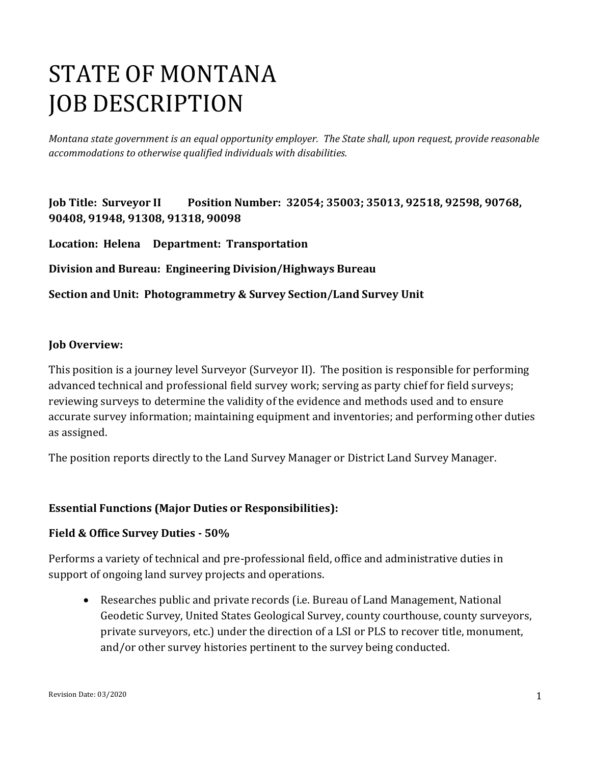# STATE OF MONTANA JOB DESCRIPTION

*Montana state government is an equal opportunity employer. The State shall, upon request, provide reasonable accommodations to otherwise qualified individuals with disabilities.*

**Job Title: Surveyor II Position Number: 32054; 35003; 35013, 92518, 92598, 90768, 90408, 91948, 91308, 91318, 90098** 

**Location: Helena Department: Transportation** 

**Division and Bureau: Engineering Division/Highways Bureau** 

**Section and Unit: Photogrammetry & Survey Section/Land Survey Unit**

#### **Job Overview:**

This position is a journey level Surveyor (Surveyor II). The position is responsible for performing advanced technical and professional field survey work; serving as party chief for field surveys; reviewing surveys to determine the validity of the evidence and methods used and to ensure accurate survey information; maintaining equipment and inventories; and performing other duties as assigned.

The position reports directly to the Land Survey Manager or District Land Survey Manager.

## **Essential Functions (Major Duties or Responsibilities):**

#### **Field & Office Survey Duties - 50%**

Performs a variety of technical and pre-professional field, office and administrative duties in support of ongoing land survey projects and operations.

• Researches public and private records (i.e. Bureau of Land Management, National Geodetic Survey, United States Geological Survey, county courthouse, county surveyors, private surveyors, etc.) under the direction of a LSI or PLS to recover title, monument, and/or other survey histories pertinent to the survey being conducted.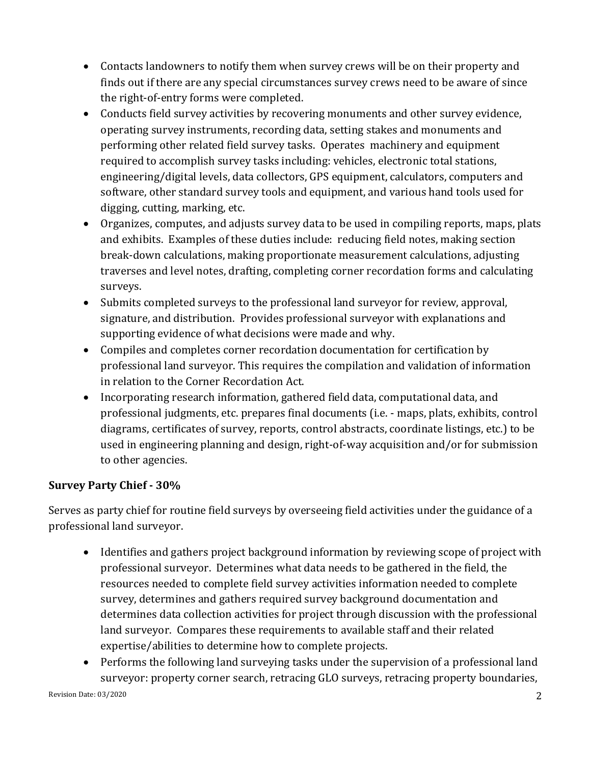- Contacts landowners to notify them when survey crews will be on their property and finds out if there are any special circumstances survey crews need to be aware of since the right-of-entry forms were completed.
- Conducts field survey activities by recovering monuments and other survey evidence, operating survey instruments, recording data, setting stakes and monuments and performing other related field survey tasks. Operates machinery and equipment required to accomplish survey tasks including: vehicles, electronic total stations, engineering/digital levels, data collectors, GPS equipment, calculators, computers and software, other standard survey tools and equipment, and various hand tools used for digging, cutting, marking, etc.
- Organizes, computes, and adjusts survey data to be used in compiling reports, maps, plats and exhibits. Examples of these duties include: reducing field notes, making section break-down calculations, making proportionate measurement calculations, adjusting traverses and level notes, drafting, completing corner recordation forms and calculating surveys.
- Submits completed surveys to the professional land surveyor for review, approval, signature, and distribution. Provides professional surveyor with explanations and supporting evidence of what decisions were made and why.
- Compiles and completes corner recordation documentation for certification by professional land surveyor. This requires the compilation and validation of information in relation to the Corner Recordation Act.
- Incorporating research information, gathered field data, computational data, and professional judgments, etc. prepares final documents (i.e. - maps, plats, exhibits, control diagrams, certificates of survey, reports, control abstracts, coordinate listings, etc.) to be used in engineering planning and design, right-of-way acquisition and/or for submission to other agencies.

# **Survey Party Chief - 30%**

Serves as party chief for routine field surveys by overseeing field activities under the guidance of a professional land surveyor.

- Identifies and gathers project background information by reviewing scope of project with professional surveyor. Determines what data needs to be gathered in the field, the resources needed to complete field survey activities information needed to complete survey, determines and gathers required survey background documentation and determines data collection activities for project through discussion with the professional land surveyor. Compares these requirements to available staff and their related expertise/abilities to determine how to complete projects.
- Performs the following land surveying tasks under the supervision of a professional land surveyor: property corner search, retracing GLO surveys, retracing property boundaries,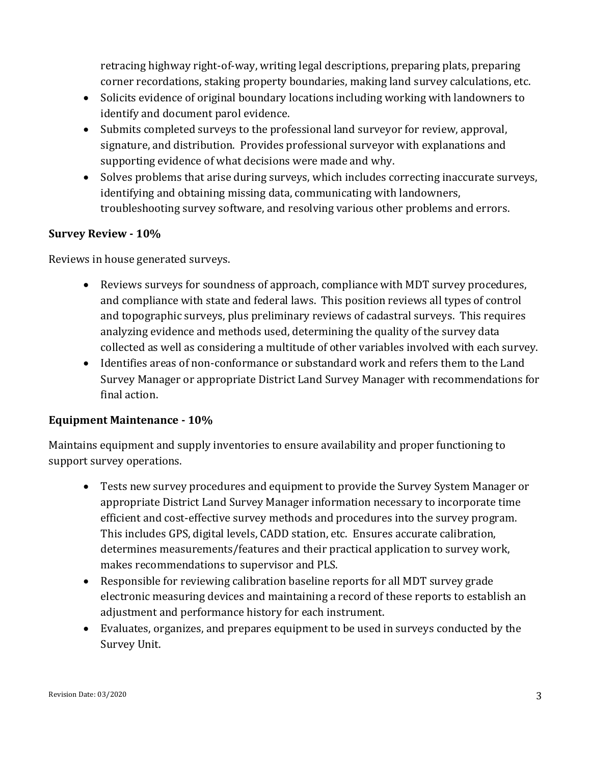retracing highway right-of-way, writing legal descriptions, preparing plats, preparing corner recordations, staking property boundaries, making land survey calculations, etc.

- Solicits evidence of original boundary locations including working with landowners to identify and document parol evidence.
- Submits completed surveys to the professional land surveyor for review, approval, signature, and distribution. Provides professional surveyor with explanations and supporting evidence of what decisions were made and why.
- Solves problems that arise during surveys, which includes correcting inaccurate surveys, identifying and obtaining missing data, communicating with landowners, troubleshooting survey software, and resolving various other problems and errors.

#### **Survey Review - 10%**

Reviews in house generated surveys.

- Reviews surveys for soundness of approach, compliance with MDT survey procedures, and compliance with state and federal laws. This position reviews all types of control and topographic surveys, plus preliminary reviews of cadastral surveys. This requires analyzing evidence and methods used, determining the quality of the survey data collected as well as considering a multitude of other variables involved with each survey.
- Identifies areas of non-conformance or substandard work and refers them to the Land Survey Manager or appropriate District Land Survey Manager with recommendations for final action.

#### **Equipment Maintenance - 10%**

Maintains equipment and supply inventories to ensure availability and proper functioning to support survey operations.

- Tests new survey procedures and equipment to provide the Survey System Manager or appropriate District Land Survey Manager information necessary to incorporate time efficient and cost-effective survey methods and procedures into the survey program. This includes GPS, digital levels, CADD station, etc. Ensures accurate calibration, determines measurements/features and their practical application to survey work, makes recommendations to supervisor and PLS.
- Responsible for reviewing calibration baseline reports for all MDT survey grade electronic measuring devices and maintaining a record of these reports to establish an adjustment and performance history for each instrument.
- Evaluates, organizes, and prepares equipment to be used in surveys conducted by the Survey Unit.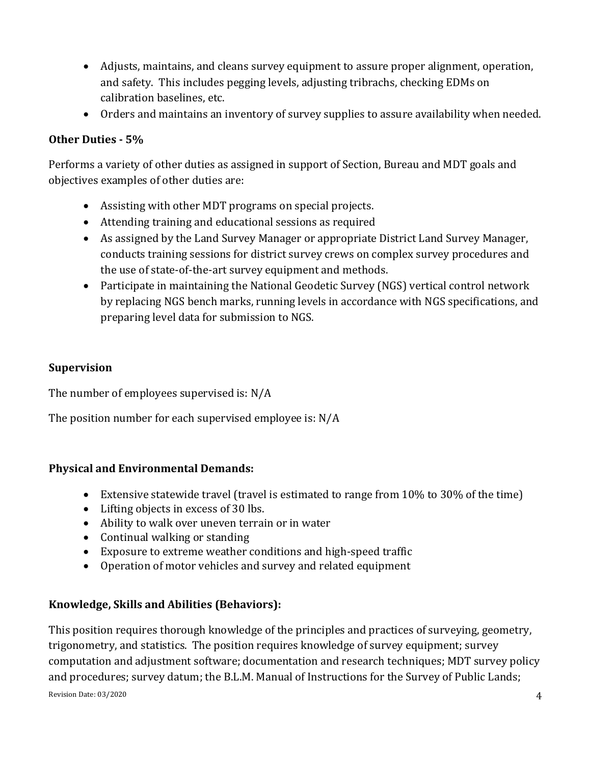- Adjusts, maintains, and cleans survey equipment to assure proper alignment, operation, and safety. This includes pegging levels, adjusting tribrachs, checking EDMs on calibration baselines, etc.
- Orders and maintains an inventory of survey supplies to assure availability when needed.

#### **Other Duties - 5%**

Performs a variety of other duties as assigned in support of Section, Bureau and MDT goals and objectives examples of other duties are:

- Assisting with other MDT programs on special projects.
- Attending training and educational sessions as required
- As assigned by the Land Survey Manager or appropriate District Land Survey Manager, conducts training sessions for district survey crews on complex survey procedures and the use of state-of-the-art survey equipment and methods.
- Participate in maintaining the National Geodetic Survey (NGS) vertical control network by replacing NGS bench marks, running levels in accordance with NGS specifications, and preparing level data for submission to NGS.

#### **Supervision**

The number of employees supervised is: N/A

The position number for each supervised employee is: N/A

#### **Physical and Environmental Demands:**

- Extensive statewide travel (travel is estimated to range from 10% to 30% of the time)
- Lifting objects in excess of 30 lbs.
- Ability to walk over uneven terrain or in water
- Continual walking or standing
- Exposure to extreme weather conditions and high-speed traffic
- Operation of motor vehicles and survey and related equipment

## **Knowledge, Skills and Abilities (Behaviors):**

Revision Date:  $03/2020$   $4$ This position requires thorough knowledge of the principles and practices of surveying, geometry, trigonometry, and statistics. The position requires knowledge of survey equipment; survey computation and adjustment software; documentation and research techniques; MDT survey policy and procedures; survey datum; the B.L.M. Manual of Instructions for the Survey of Public Lands;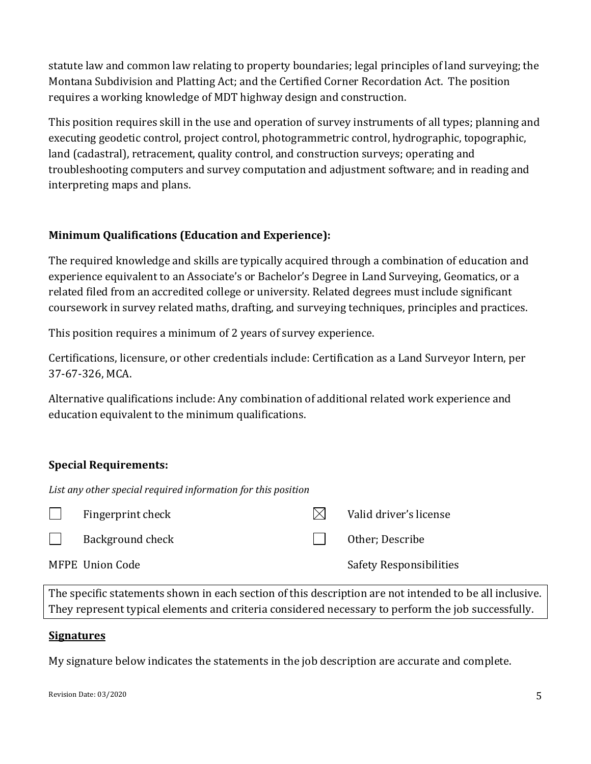statute law and common law relating to property boundaries; legal principles of land surveying; the Montana Subdivision and Platting Act; and the Certified Corner Recordation Act. The position requires a working knowledge of MDT highway design and construction.

This position requires skill in the use and operation of survey instruments of all types; planning and executing geodetic control, project control, photogrammetric control, hydrographic, topographic, land (cadastral), retracement, quality control, and construction surveys; operating and troubleshooting computers and survey computation and adjustment software; and in reading and interpreting maps and plans.

## **Minimum Qualifications (Education and Experience):**

The required knowledge and skills are typically acquired through a combination of education and experience equivalent to an Associate's or Bachelor's Degree in Land Surveying, Geomatics, or a related filed from an accredited college or university. Related degrees must include significant coursework in survey related maths, drafting, and surveying techniques, principles and practices.

This position requires a minimum of 2 years of survey experience.

Certifications, licensure, or other credentials include: Certification as a Land Surveyor Intern, per 37-67-326, MCA.

Alternative qualifications include: Any combination of additional related work experience and education equivalent to the minimum qualifications.

# **Special Requirements:**

*List any other special required information for this position*

|              | Fingerprint check       | Valid driver's license         |
|--------------|-------------------------|--------------------------------|
| $\mathbb{R}$ | <b>Background check</b> | Other: Describe                |
|              | MFPE Union Code         | <b>Safety Responsibilities</b> |

The specific statements shown in each section of this description are not intended to be all inclusive. They represent typical elements and criteria considered necessary to perform the job successfully.

#### **Signatures**

My signature below indicates the statements in the job description are accurate and complete.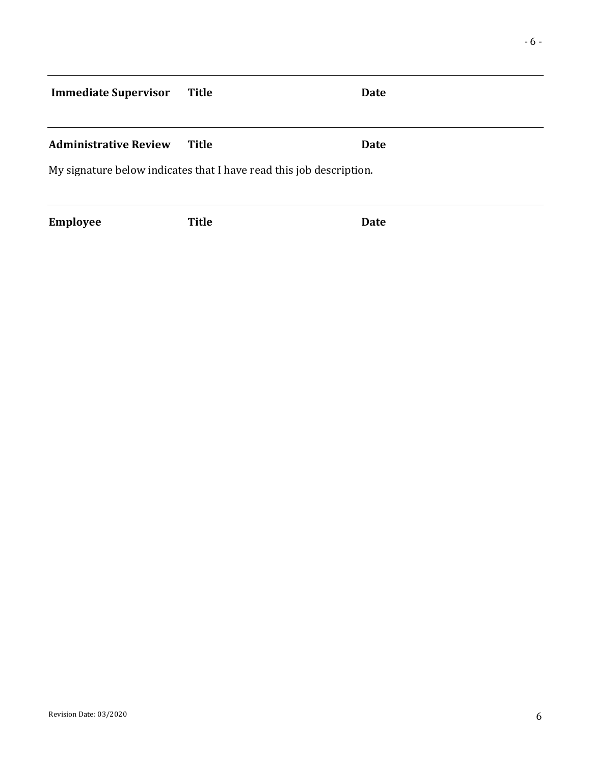# **Immediate Supervisor** Title **Date**

#### **Administrative Review Title Date**

My signature below indicates that I have read this job description.

**Employee Title Date**